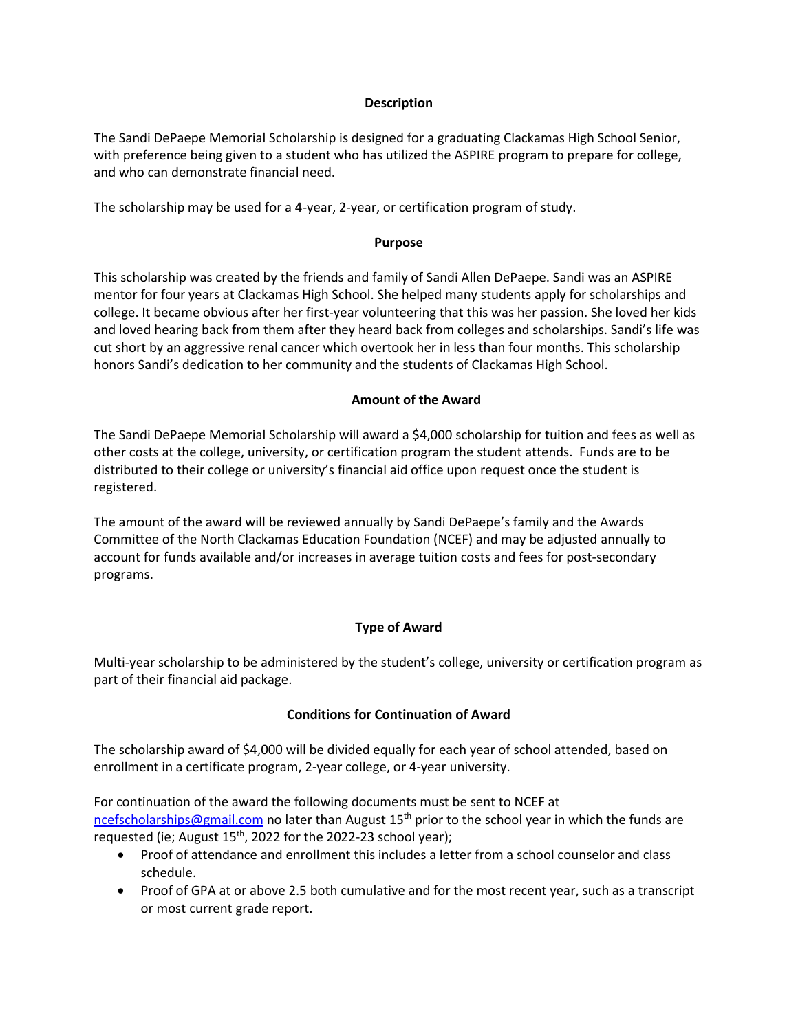#### **Description**

The Sandi DePaepe Memorial Scholarship is designed for a graduating Clackamas High School Senior, with preference being given to a student who has utilized the ASPIRE program to prepare for college, and who can demonstrate financial need.

The scholarship may be used for a 4-year, 2-year, or certification program of study.

#### **Purpose**

This scholarship was created by the friends and family of Sandi Allen DePaepe. Sandi was an ASPIRE mentor for four years at Clackamas High School. She helped many students apply for scholarships and college. It became obvious after her first-year volunteering that this was her passion. She loved her kids and loved hearing back from them after they heard back from colleges and scholarships. Sandi's life was cut short by an aggressive renal cancer which overtook her in less than four months. This scholarship honors Sandi's dedication to her community and the students of Clackamas High School.

#### **Amount of the Award**

The Sandi DePaepe Memorial Scholarship will award a \$4,000 scholarship for tuition and fees as well as other costs at the college, university, or certification program the student attends. Funds are to be distributed to their college or university's financial aid office upon request once the student is registered.

The amount of the award will be reviewed annually by Sandi DePaepe's family and the Awards Committee of the North Clackamas Education Foundation (NCEF) and may be adjusted annually to account for funds available and/or increases in average tuition costs and fees for post-secondary programs.

## **Type of Award**

Multi-year scholarship to be administered by the student's college, university or certification program as part of their financial aid package.

## **Conditions for Continuation of Award**

The scholarship award of \$4,000 will be divided equally for each year of school attended, based on enrollment in a certificate program, 2-year college, or 4-year university.

For continuation of the award the following documents must be sent to NCEF at [ncefscholarships@gmail.com](mailto:ncefscholarships@gmail.com) no later than August 15<sup>th</sup> prior to the school year in which the funds are requested (ie; August 15<sup>th</sup>, 2022 for the 2022-23 school year);

- Proof of attendance and enrollment this includes a letter from a school counselor and class schedule.
- Proof of GPA at or above 2.5 both cumulative and for the most recent year, such as a transcript or most current grade report.